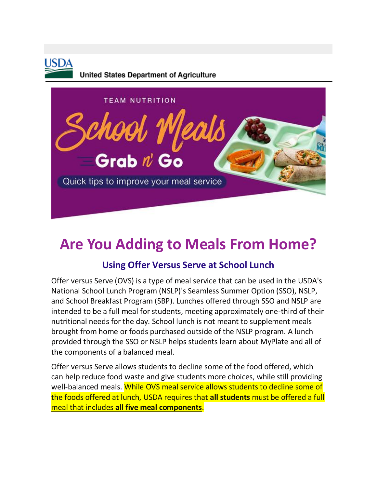

**United States Department of Agriculture** 



# **Are You Adding to Meals From Home?**

## **Using Offer Versus Serve at School Lunch**

Offer versus Serve (OVS) is a type of meal service that can be used in the USDA's National School Lunch Program (NSLP)'s Seamless Summer Option (SSO), NSLP, and School Breakfast Program (SBP). Lunches offered through SSO and NSLP are intended to be a full meal for students, meeting approximately one-third of their nutritional needs for the day. School lunch is not meant to supplement meals brought from home or foods purchased outside of the NSLP program. A lunch provided through the SSO or NSLP helps students learn about MyPlate and all of the components of a balanced meal.

Offer versus Serve allows students to decline some of the food offered, which can help reduce food waste and give students more choices, while still providing well-balanced meals. While OVS meal service allows students to decline some of the foods offered at lunch, USDA requires that **all students** must be offered a full meal that includes **all five meal components**.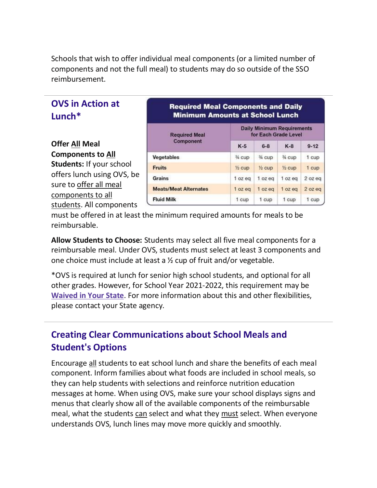Schools that wish to offer individual meal components (or a limited number of components and not the full meal) to students may do so outside of the SSO reimbursement.

## **OVS in Action at Lunch\***

### **Offer All Meal Components to All**

**Students:** If your school offers lunch using OVS, be sure to offer all meal components to all students. All components

#### **Required Meal Components and Daily Minimum Amounts at School Lunch**

| <b>Required Meal</b><br>Component | <b>Daily Minimum Requirements</b><br>for Each Grade Level |                   |                   |          |
|-----------------------------------|-----------------------------------------------------------|-------------------|-------------------|----------|
|                                   | $K-5$                                                     | $6 - 8$           | $K-8$             | $9 - 12$ |
| Vegetables                        | % cup                                                     | 34 cup            | 34 cup            | 1 cup    |
| <b>Fruits</b>                     | $\frac{1}{2}$ cup                                         | $\frac{1}{2}$ cup | $\frac{1}{2}$ cup | 1 cup    |
| <b>Grains</b>                     | 1 oz eg                                                   | 1 oz ea           | 1 oz eg           | 2 oz eg  |
| <b>Meats/Meat Alternates</b>      | 1 oz eq                                                   | 1 oz ea           | 1 oz ea           | 2 oz ea  |
| <b>Fluid Milk</b>                 | 1 cup                                                     | 1 cup             | 1 cup             | 1 cup    |

must be offered in at least the minimum required amounts for meals to be reimbursable.

**Allow Students to Choose:** Students may select all five meal components for a reimbursable meal. Under OVS, students must select at least 3 components and one choice must include at least a ½ cup of fruit and/or vegetable.

\*OVS is required at lunch for senior high school students, and optional for all other grades. However, for School Year 2021-2022, this requirement may be **[Waived in Your State](https://www.fns.usda.gov/cn/covid-19-child-nutrition-response-92)**. For more information about this and other flexibilities, please contact your State agency.

## **Creating Clear Communications about School Meals and Student's Options**

Encourage all students to eat school lunch and share the benefits of each meal component. Inform families about what foods are included in school meals, so they can help students with selections and reinforce nutrition education messages at home. When using OVS, make sure your school displays signs and menus that clearly show all of the available components of the reimbursable meal, what the students can select and what they must select. When everyone understands OVS, lunch lines may move more quickly and smoothly.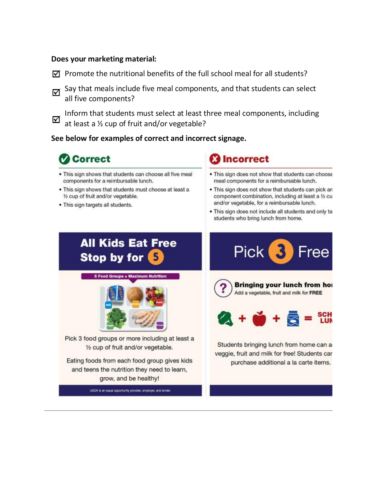#### **Does your marketing material:**

- $\boxtimes$  Promote the nutritional benefits of the full school meal for all students?
- Say that meals include five meal components, and that students can select ☑ all five components?

Inform that students must select at least three meal components, including ☑ at least a ½ cup of fruit and/or vegetable?

#### **See below for examples of correct and incorrect signage.**



- . This sign shows that students can choose all five meal components for a reimbursable lunch.
- . This sign shows that students must choose at least a 1/2 cup of fruit and/or vegetable.
- . This sign targets all students.

## **Incorrect**

- . This sign does not show that students can choose meal components for a reimbursable lunch.
- . This sign does not show that students can pick an component combination, including at least a 1/2 cu and/or vegetable, for a reimbursable lunch.
- . This sign does not include all students and only ta students who bring lunch from home.

#### **All Kids Eat Free Stop by for** 5

**5 Food Groups = Maximum Nutrition** 



Pick 3 food groups or more including at least a 1/2 cup of fruit and/or vegetable.

Eating foods from each food group gives kids and teens the nutrition they need to learn, grow, and be healthy!

USDA is an equal opportunity provider, employer, and lender.





Students bringing lunch from home can a veggie, fruit and milk for free! Students car purchase additional a la carte items.